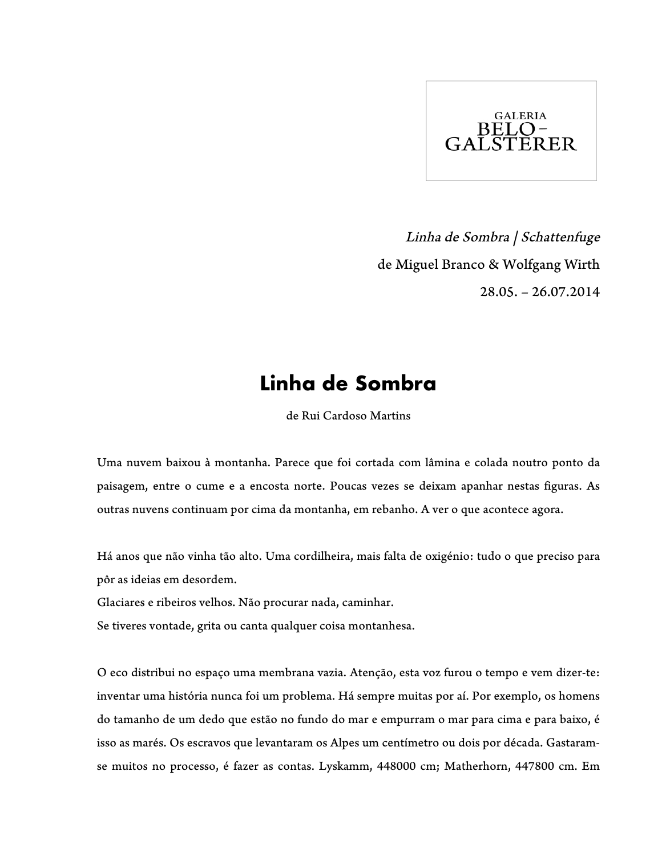

Linha de Sombra | Schattenfuge de Miguel Branco & Wolfgang Wirth 28.05. – 26.07.2014

## **Linha de Sombra**

de Rui Cardoso Martins

Uma nuvem baixou à montanha. Parece que foi cortada com lâmina e colada noutro ponto da paisagem, entre o cume e a encosta norte. Poucas vezes se deixam apanhar nestas figuras. As outras nuvens continuam por cima da montanha, em rebanho. A ver o que acontece agora.

Há anos que não vinha tão alto. Uma cordilheira, mais falta de oxigénio: tudo o que preciso para pôr as ideias em desordem.

Glaciares e ribeiros velhos. Não procurar nada, caminhar.

Se tiveres vontade, grita ou canta qualquer coisa montanhesa.

O eco distribui no espaço uma membrana vazia. Atenção, esta voz furou o tempo e vem dizer-te: inventar uma história nunca foi um problema. Há sempre muitas por aí. Por exemplo, os homens do tamanho de um dedo que estão no fundo do mar e empurram o mar para cima e para baixo, é isso as marés. Os escravos que levantaram os Alpes um centímetro ou dois por década. Gastaramse muitos no processo, é fazer as contas. Lyskamm, 448000 cm; Matherhorn, 447800 cm. Em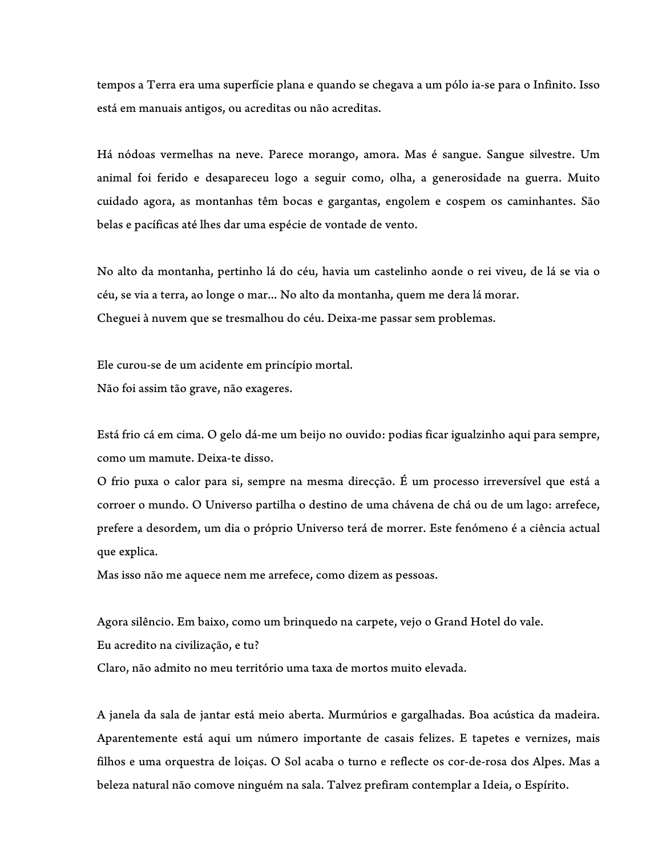tempos a Terra era uma superfície plana e quando se chegava a um pólo ia-se para o Infinito. Isso está em manuais antigos, ou acreditas ou não acreditas.

Há nódoas vermelhas na neve. Parece morango, amora. Mas é sangue. Sangue silvestre. Um animal foi ferido e desapareceu logo a seguir como, olha, a generosidade na guerra. Muito cuidado agora, as montanhas têm bocas e gargantas, engolem e cospem os caminhantes. São belas e pacíficas até lhes dar uma espécie de vontade de vento.

No alto da montanha, pertinho lá do céu, havia um castelinho aonde o rei viveu, de lá se via o céu, se via a terra, ao longe o mar... No alto da montanha, quem me dera lá morar. Cheguei à nuvem que se tresmalhou do céu. Deixa-me passar sem problemas.

Ele curou-se de um acidente em princípio mortal. Não foi assim tão grave, não exageres.

Está frio cá em cima. O gelo dá-me um beijo no ouvido: podias ficar igualzinho aqui para sempre, como um mamute. Deixa-te disso.

O frio puxa o calor para si, sempre na mesma direcção. É um processo irreversível que está a corroer o mundo. O Universo partilha o destino de uma chávena de chá ou de um lago: arrefece, prefere a desordem, um dia o próprio Universo terá de morrer. Este fenómeno é a ciência actual que explica.

Mas isso não me aquece nem me arrefece, como dizem as pessoas.

Agora silêncio. Em baixo, como um brinquedo na carpete, vejo o Grand Hotel do vale. Eu acredito na civilização, e tu? Claro, não admito no meu território uma taxa de mortos muito elevada.

A janela da sala de jantar está meio aberta. Murmúrios e gargalhadas. Boa acústica da madeira. Aparentemente está aqui um número importante de casais felizes. E tapetes e vernizes, mais filhos e uma orquestra de loiças. O Sol acaba o turno e reflecte os cor-de-rosa dos Alpes. Mas a beleza natural não comove ninguém na sala. Talvez prefiram contemplar a Ideia, o Espírito.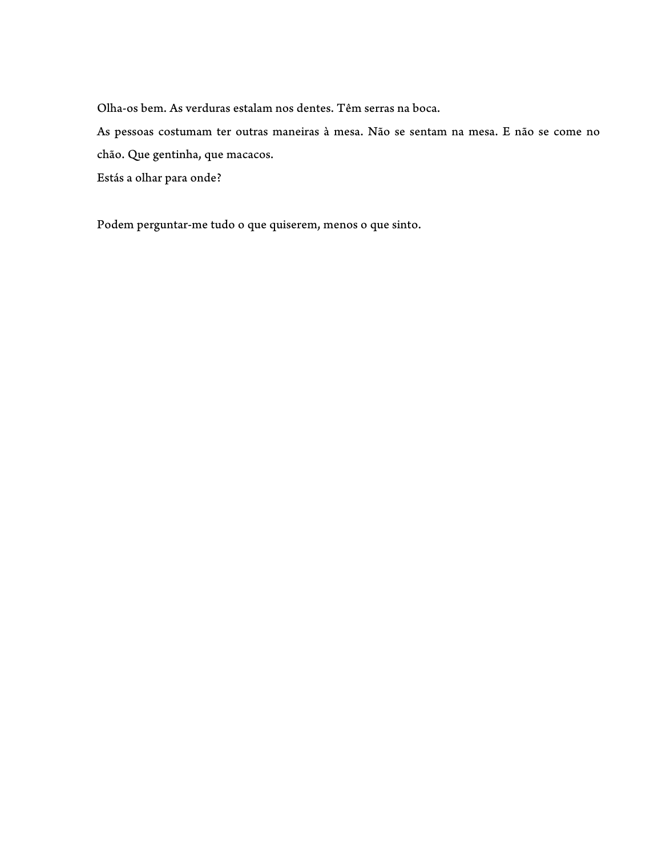Olha-os bem. As verduras estalam nos dentes. Têm serras na boca.

As pessoas costumam ter outras maneiras à mesa. Não se sentam na mesa. E não se come no chão. Que gentinha, que macacos.

Estás a olhar para onde?

Podem perguntar-me tudo o que quiserem, menos o que sinto.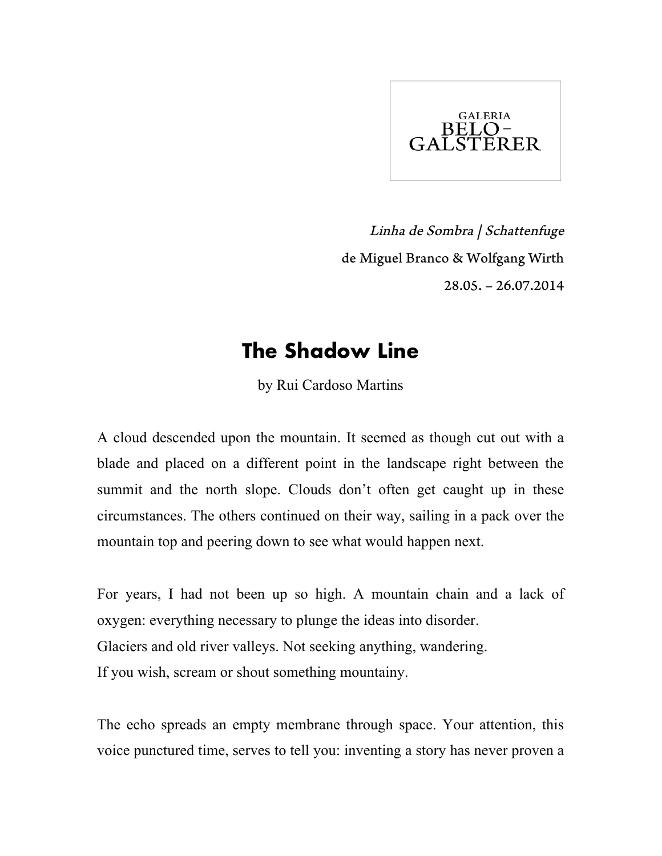

Linha de Sombra | Schattenfuge de Miguel Branco & Wolfgang Wirth 28.05. – 26.07.2014

## **The Shadow Line**

by Rui Cardoso Martins

A cloud descended upon the mountain. It seemed as though cut out with a blade and placed on a different point in the landscape right between the summit and the north slope. Clouds don't often get caught up in these circumstances. The others continued on their way, sailing in a pack over the mountain top and peering down to see what would happen next.

For years, I had not been up so high. A mountain chain and a lack of oxygen: everything necessary to plunge the ideas into disorder. Glaciers and old river valleys. Not seeking anything, wandering. If you wish, scream or shout something mountainy.

The echo spreads an empty membrane through space. Your attention, this voice punctured time, serves to tell you: inventing a story has never proven a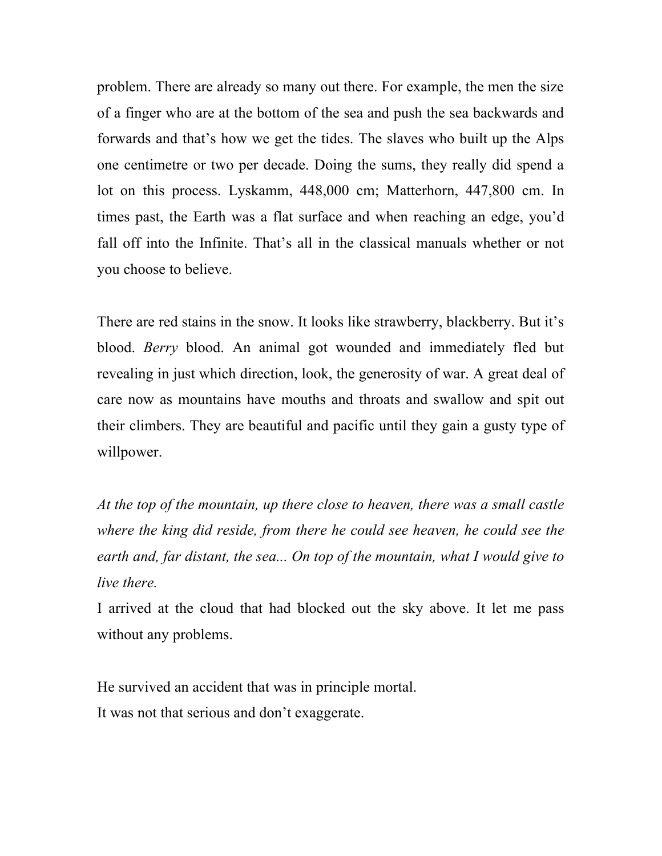problem. There are already so many out there. For example, the men the size of a finger who are at the bottom of the sea and push the sea backwards and forwards and that's how we get the tides. The slaves who built up the Alps one centimetre or two per decade. Doing the sums, they really did spend a lot on this process. Lyskamm, 448,000 cm; Matterhorn, 447,800 cm. In times past, the Earth was a flat surface and when reaching an edge, you'd fall off into the Infinite. That's all in the classical manuals whether or not you choose to believe.

There are red stains in the snow. It looks like strawberry, blackberry. But it's blood. *Berry* blood. An animal got wounded and immediately fled but revealing in just which direction, look, the generosity of war. A great deal of care now as mountains have mouths and throats and swallow and spit out their climbers. They are beautiful and pacific until they gain a gusty type of willpower.

*At the top of the mountain, up there close to heaven, there was a small castle where the king did reside, from there he could see heaven, he could see the earth and, far distant, the sea... On top of the mountain, what I would give to live there.* 

I arrived at the cloud that had blocked out the sky above. It let me pass without any problems.

He survived an accident that was in principle mortal. It was not that serious and don't exaggerate.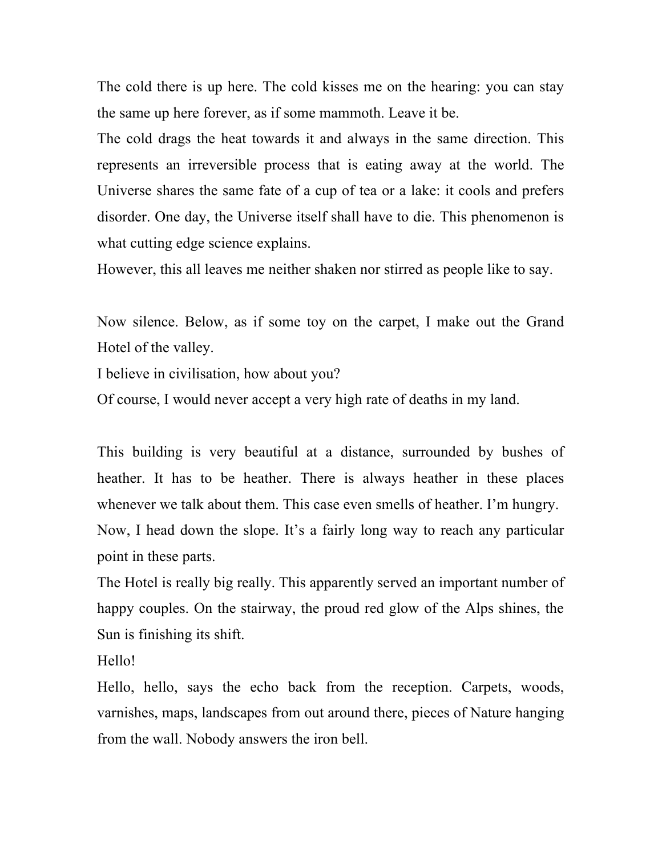The cold there is up here. The cold kisses me on the hearing: you can stay the same up here forever, as if some mammoth. Leave it be.

The cold drags the heat towards it and always in the same direction. This represents an irreversible process that is eating away at the world. The Universe shares the same fate of a cup of tea or a lake: it cools and prefers disorder. One day, the Universe itself shall have to die. This phenomenon is what cutting edge science explains.

However, this all leaves me neither shaken nor stirred as people like to say.

Now silence. Below, as if some toy on the carpet, I make out the Grand Hotel of the valley.

I believe in civilisation, how about you?

Of course, I would never accept a very high rate of deaths in my land.

This building is very beautiful at a distance, surrounded by bushes of heather. It has to be heather. There is always heather in these places whenever we talk about them. This case even smells of heather. I'm hungry. Now, I head down the slope. It's a fairly long way to reach any particular point in these parts.

The Hotel is really big really. This apparently served an important number of happy couples. On the stairway, the proud red glow of the Alps shines, the Sun is finishing its shift.

Hello!

Hello, hello, says the echo back from the reception. Carpets, woods, varnishes, maps, landscapes from out around there, pieces of Nature hanging from the wall. Nobody answers the iron bell.